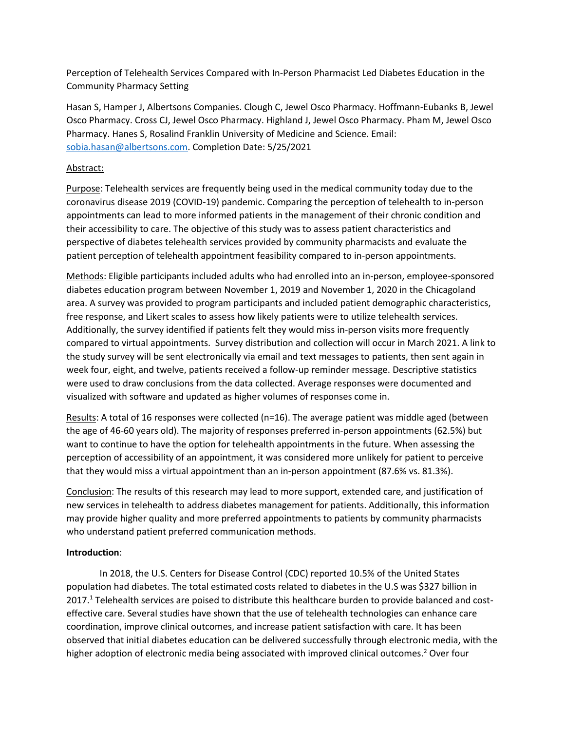Perception of Telehealth Services Compared with In-Person Pharmacist Led Diabetes Education in the Community Pharmacy Setting

Hasan S, Hamper J, Albertsons Companies. Clough C, Jewel Osco Pharmacy. Hoffmann-Eubanks B, Jewel Osco Pharmacy. Cross CJ, Jewel Osco Pharmacy. Highland J, Jewel Osco Pharmacy. Pham M, Jewel Osco Pharmacy. Hanes S, Rosalind Franklin University of Medicine and Science. Email: [sobia.hasan@albertsons.com.](mailto:sobia.hasan@albertsons.com) Completion Date: 5/25/2021

# Abstract:

Purpose: Telehealth services are frequently being used in the medical community today due to the coronavirus disease 2019 (COVID-19) pandemic. Comparing the perception of telehealth to in-person appointments can lead to more informed patients in the management of their chronic condition and their accessibility to care. The objective of this study was to assess patient characteristics and perspective of diabetes telehealth services provided by community pharmacists and evaluate the patient perception of telehealth appointment feasibility compared to in-person appointments.

Methods: Eligible participants included adults who had enrolled into an in-person, employee-sponsored diabetes education program between November 1, 2019 and November 1, 2020 in the Chicagoland area. A survey was provided to program participants and included patient demographic characteristics, free response, and Likert scales to assess how likely patients were to utilize telehealth services. Additionally, the survey identified if patients felt they would miss in-person visits more frequently compared to virtual appointments. Survey distribution and collection will occur in March 2021. A link to the study survey will be sent electronically via email and text messages to patients, then sent again in week four, eight, and twelve, patients received a follow-up reminder message. Descriptive statistics were used to draw conclusions from the data collected. Average responses were documented and visualized with software and updated as higher volumes of responses come in.

Results: A total of 16 responses were collected (n=16). The average patient was middle aged (between the age of 46-60 years old). The majority of responses preferred in-person appointments (62.5%) but want to continue to have the option for telehealth appointments in the future. When assessing the perception of accessibility of an appointment, it was considered more unlikely for patient to perceive that they would miss a virtual appointment than an in-person appointment (87.6% vs. 81.3%).

Conclusion: The results of this research may lead to more support, extended care, and justification of new services in telehealth to address diabetes management for patients. Additionally, this information may provide higher quality and more preferred appointments to patients by community pharmacists who understand patient preferred communication methods.

## **Introduction**:

In 2018, the U.S. Centers for Disease Control (CDC) reported 10.5% of the United States population had diabetes. The total estimated costs related to diabetes in the U.S was \$327 billion in 2017.<sup>1</sup> Telehealth services are poised to distribute this healthcare burden to provide balanced and costeffective care. Several studies have shown that the use of telehealth technologies can enhance care coordination, improve clinical outcomes, and increase patient satisfaction with care. It has been observed that initial diabetes education can be delivered successfully through electronic media, with the higher adoption of electronic media being associated with improved clinical outcomes.<sup>2</sup> Over four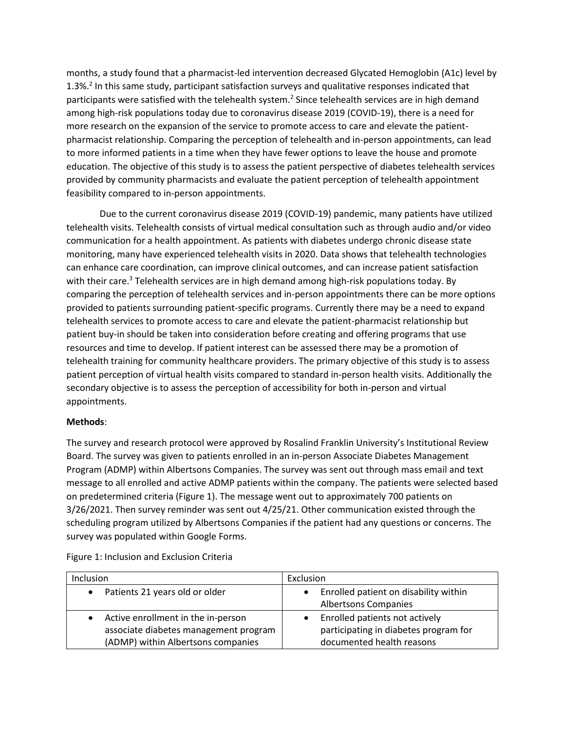months, a study found that a pharmacist-led intervention decreased Glycated Hemoglobin (A1c) level by 1.3%.<sup>2</sup> In this same study, participant satisfaction surveys and qualitative responses indicated that participants were satisfied with the telehealth system.<sup>2</sup> Since telehealth services are in high demand among high-risk populations today due to coronavirus disease 2019 (COVID-19), there is a need for more research on the expansion of the service to promote access to care and elevate the patientpharmacist relationship. Comparing the perception of telehealth and in-person appointments, can lead to more informed patients in a time when they have fewer options to leave the house and promote education. The objective of this study is to assess the patient perspective of diabetes telehealth services provided by community pharmacists and evaluate the patient perception of telehealth appointment feasibility compared to in-person appointments.

Due to the current coronavirus disease 2019 (COVID-19) pandemic, many patients have utilized telehealth visits. Telehealth consists of virtual medical consultation such as through audio and/or video communication for a health appointment. As patients with diabetes undergo chronic disease state monitoring, many have experienced telehealth visits in 2020. Data shows that telehealth technologies can enhance care coordination, can improve clinical outcomes, and can increase patient satisfaction with their care.<sup>3</sup> Telehealth services are in high demand among high-risk populations today. By comparing the perception of telehealth services and in-person appointments there can be more options provided to patients surrounding patient-specific programs. Currently there may be a need to expand telehealth services to promote access to care and elevate the patient-pharmacist relationship but patient buy-in should be taken into consideration before creating and offering programs that use resources and time to develop. If patient interest can be assessed there may be a promotion of telehealth training for community healthcare providers. The primary objective of this study is to assess patient perception of virtual health visits compared to standard in-person health visits. Additionally the secondary objective is to assess the perception of accessibility for both in-person and virtual appointments.

## **Methods**:

The survey and research protocol were approved by Rosalind Franklin University's Institutional Review Board. The survey was given to patients enrolled in an in-person Associate Diabetes Management Program (ADMP) within Albertsons Companies. The survey was sent out through mass email and text message to all enrolled and active ADMP patients within the company. The patients were selected based on predetermined criteria (Figure 1). The message went out to approximately 700 patients on 3/26/2021. Then survey reminder was sent out 4/25/21. Other communication existed through the scheduling program utilized by Albertsons Companies if the patient had any questions or concerns. The survey was populated within Google Forms.

| <b>Inclusion</b>                      | Exclusion                             |
|---------------------------------------|---------------------------------------|
| Patients 21 years old or older        | Enrolled patient on disability within |
|                                       | <b>Albertsons Companies</b>           |
| Active enrollment in the in-person    | Enrolled patients not actively        |
| associate diabetes management program | participating in diabetes program for |
| (ADMP) within Albertsons companies    | documented health reasons             |

Figure 1: Inclusion and Exclusion Criteria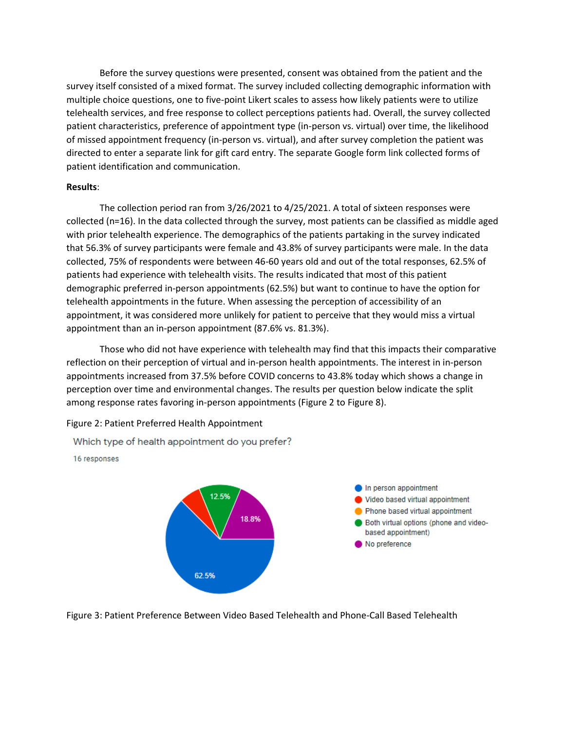Before the survey questions were presented, consent was obtained from the patient and the survey itself consisted of a mixed format. The survey included collecting demographic information with multiple choice questions, one to five-point Likert scales to assess how likely patients were to utilize telehealth services, and free response to collect perceptions patients had. Overall, the survey collected patient characteristics, preference of appointment type (in-person vs. virtual) over time, the likelihood of missed appointment frequency (in-person vs. virtual), and after survey completion the patient was directed to enter a separate link for gift card entry. The separate Google form link collected forms of patient identification and communication.

#### **Results**:

The collection period ran from 3/26/2021 to 4/25/2021. A total of sixteen responses were collected (n=16). In the data collected through the survey, most patients can be classified as middle aged with prior telehealth experience. The demographics of the patients partaking in the survey indicated that 56.3% of survey participants were female and 43.8% of survey participants were male. In the data collected, 75% of respondents were between 46-60 years old and out of the total responses, 62.5% of patients had experience with telehealth visits. The results indicated that most of this patient demographic preferred in-person appointments (62.5%) but want to continue to have the option for telehealth appointments in the future. When assessing the perception of accessibility of an appointment, it was considered more unlikely for patient to perceive that they would miss a virtual appointment than an in-person appointment (87.6% vs. 81.3%).

Those who did not have experience with telehealth may find that this impacts their comparative reflection on their perception of virtual and in-person health appointments. The interest in in-person appointments increased from 37.5% before COVID concerns to 43.8% today which shows a change in perception over time and environmental changes. The results per question below indicate the split among response rates favoring in-person appointments (Figure 2 to Figure 8).

Figure 2: Patient Preferred Health Appointment

Which type of health appointment do you prefer?

16 responses



Figure 3: Patient Preference Between Video Based Telehealth and Phone-Call Based Telehealth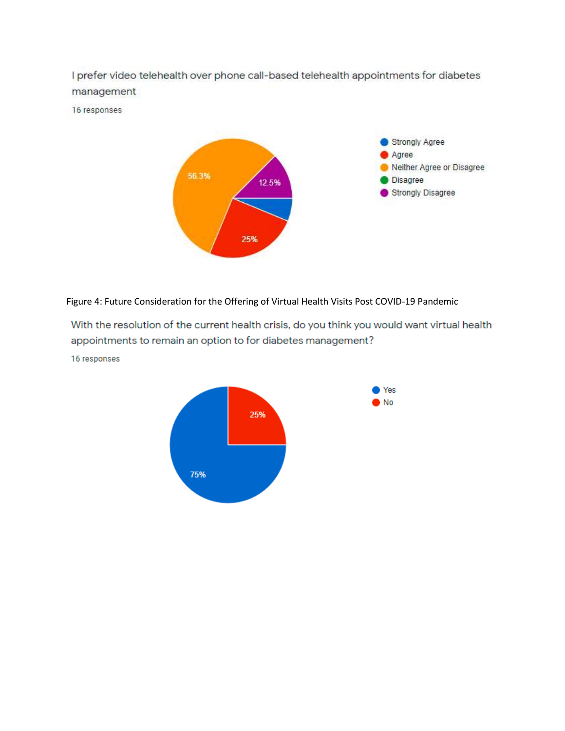I prefer video telehealth over phone call-based telehealth appointments for diabetes management

16 responses



Figure 4: Future Consideration for the Offering of Virtual Health Visits Post COVID-19 Pandemic

With the resolution of the current health crisis, do you think you would want virtual health appointments to remain an option to for diabetes management?

16 responses

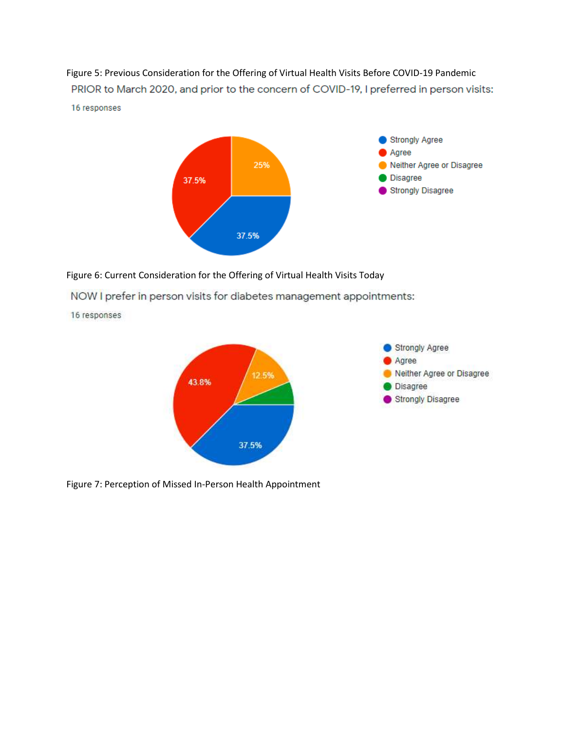Figure 5: Previous Consideration for the Offering of Virtual Health Visits Before COVID-19 Pandemic PRIOR to March 2020, and prior to the concern of COVID-19, I preferred in person visits: 16 responses



Figure 6: Current Consideration for the Offering of Virtual Health Visits Today

NOW I prefer in person visits for diabetes management appointments:

16 responses



Figure 7: Perception of Missed In-Person Health Appointment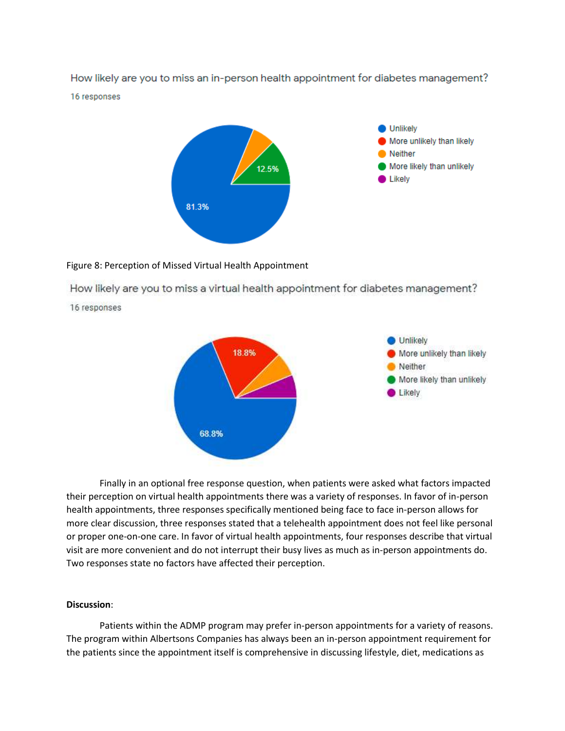How likely are you to miss an in-person health appointment for diabetes management? 16 responses



#### Figure 8: Perception of Missed Virtual Health Appointment

How likely are you to miss a virtual health appointment for diabetes management?

16 responses



Finally in an optional free response question, when patients were asked what factors impacted their perception on virtual health appointments there was a variety of responses. In favor of in-person health appointments, three responses specifically mentioned being face to face in-person allows for more clear discussion, three responses stated that a telehealth appointment does not feel like personal or proper one-on-one care. In favor of virtual health appointments, four responses describe that virtual visit are more convenient and do not interrupt their busy lives as much as in-person appointments do. Two responses state no factors have affected their perception.

### **Discussion**:

Patients within the ADMP program may prefer in-person appointments for a variety of reasons. The program within Albertsons Companies has always been an in-person appointment requirement for the patients since the appointment itself is comprehensive in discussing lifestyle, diet, medications as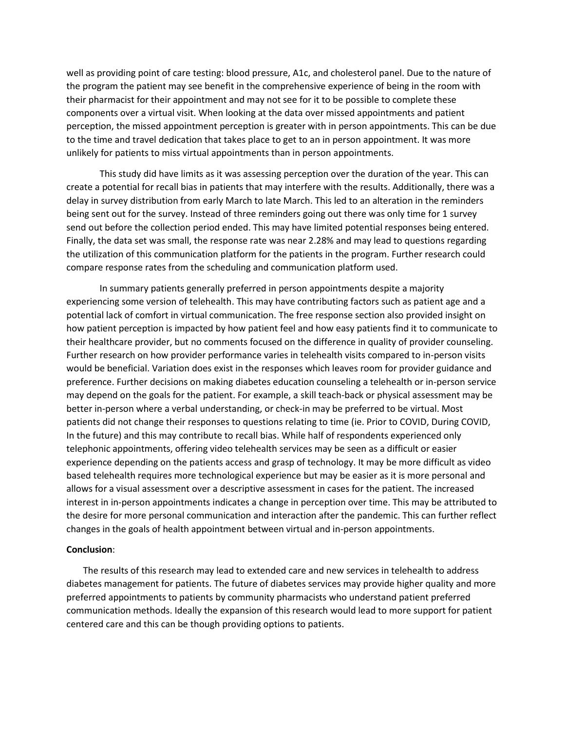well as providing point of care testing: blood pressure, A1c, and cholesterol panel. Due to the nature of the program the patient may see benefit in the comprehensive experience of being in the room with their pharmacist for their appointment and may not see for it to be possible to complete these components over a virtual visit. When looking at the data over missed appointments and patient perception, the missed appointment perception is greater with in person appointments. This can be due to the time and travel dedication that takes place to get to an in person appointment. It was more unlikely for patients to miss virtual appointments than in person appointments.

This study did have limits as it was assessing perception over the duration of the year. This can create a potential for recall bias in patients that may interfere with the results. Additionally, there was a delay in survey distribution from early March to late March. This led to an alteration in the reminders being sent out for the survey. Instead of three reminders going out there was only time for 1 survey send out before the collection period ended. This may have limited potential responses being entered. Finally, the data set was small, the response rate was near 2.28% and may lead to questions regarding the utilization of this communication platform for the patients in the program. Further research could compare response rates from the scheduling and communication platform used.

In summary patients generally preferred in person appointments despite a majority experiencing some version of telehealth. This may have contributing factors such as patient age and a potential lack of comfort in virtual communication. The free response section also provided insight on how patient perception is impacted by how patient feel and how easy patients find it to communicate to their healthcare provider, but no comments focused on the difference in quality of provider counseling. Further research on how provider performance varies in telehealth visits compared to in-person visits would be beneficial. Variation does exist in the responses which leaves room for provider guidance and preference. Further decisions on making diabetes education counseling a telehealth or in-person service may depend on the goals for the patient. For example, a skill teach-back or physical assessment may be better in-person where a verbal understanding, or check-in may be preferred to be virtual. Most patients did not change their responses to questions relating to time (ie. Prior to COVID, During COVID, In the future) and this may contribute to recall bias. While half of respondents experienced only telephonic appointments, offering video telehealth services may be seen as a difficult or easier experience depending on the patients access and grasp of technology. It may be more difficult as video based telehealth requires more technological experience but may be easier as it is more personal and allows for a visual assessment over a descriptive assessment in cases for the patient. The increased interest in in-person appointments indicates a change in perception over time. This may be attributed to the desire for more personal communication and interaction after the pandemic. This can further reflect changes in the goals of health appointment between virtual and in-person appointments.

#### **Conclusion**:

The results of this research may lead to extended care and new services in telehealth to address diabetes management for patients. The future of diabetes services may provide higher quality and more preferred appointments to patients by community pharmacists who understand patient preferred communication methods. Ideally the expansion of this research would lead to more support for patient centered care and this can be though providing options to patients.